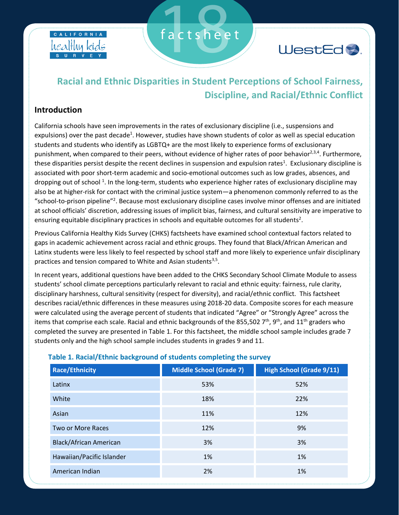



## **Racial and Ethnic Disparities in Student Perceptions of School Fairness, Discipline, and Racial/Ethnic Conflict**

factsheet

### **Introduction**

California schools have seen improvements in the rates of exclusionary discipline (i.e., suspensions and expulsions) over the past decade<sup>1</sup>. However, studies have shown students of color as well as special education students and students who identify as LGBTQ+ are the most likely to experience forms of exclusionary punishment, when compared to their peers, without evidence of higher rates of poor behavior<sup>2,3,4</sup>. Furthermore, these disparities persist despite the recent declines in suspension and expulsion rates<sup>1</sup>. Exclusionary discipline is associated with poor short-term academic and socio-emotional outcomes such as low grades, absences, and dropping out of school<sup>1</sup>. In the long-term, students who experience higher rates of exclusionary discipline may also be at higher-risk for contact with the criminal justice system—a phenomenon commonly referred to as the "school-to-prison pipeline"<sup>2</sup>. Because most exclusionary discipline cases involve minor offenses and are initiated at school officials' discretion, addressing issues of implicit bias, fairness, and cultural sensitivity are imperative to ensuring equitable disciplinary practices in schools and equitable outcomes for all students<sup>2</sup>.

Previous California Healthy Kids Survey (CHKS) factsheets have examined school contextual factors related to gaps in academic achievement across racial and ethnic groups. They found that Black/African American and Latinx students were less likely to feel respected by school staff and more likely to experience unfair disciplinary practices and tension compared to White and Asian students<sup>3,5</sup>.

In recent years, additional questions have been added to the CHKS Secondary School Climate Module to assess students' school climate perceptions particularly relevant to racial and ethnic equity: fairness, rule clarity, disciplinary harshness, cultural sensitivity (respect for diversity), and racial/ethnic conflict. This factsheet describes racial/ethnic differences in these measures using 2018-20 data. Composite scores for each measure were calculated using the average percent of students that indicated "Agree" or "Strongly Agree" across the items that comprise each scale. Racial and ethnic backgrounds of the 855,502  $7<sup>th</sup>$ , 9<sup>th</sup>, and 11<sup>th</sup> graders who completed the survey are presented in Table 1. For this factsheet, the middle school sample includes grade 7 students only and the high school sample includes students in grades 9 and 11.

| <b>Race/Ethnicity</b>         | <b>Middle School (Grade 7)</b> | <b>High School (Grade 9/11)</b> |
|-------------------------------|--------------------------------|---------------------------------|
| Latinx                        | 53%                            | 52%                             |
| White                         | 18%                            | 22%                             |
| Asian                         | 11%                            | 12%                             |
| Two or More Races             | 12%                            | 9%                              |
| <b>Black/African American</b> | 3%                             | 3%                              |
| Hawaiian/Pacific Islander     | 1%                             | 1%                              |
| American Indian               | 2%                             | 1%                              |

### **Table 1. Racial/Ethnic background of students completing the survey**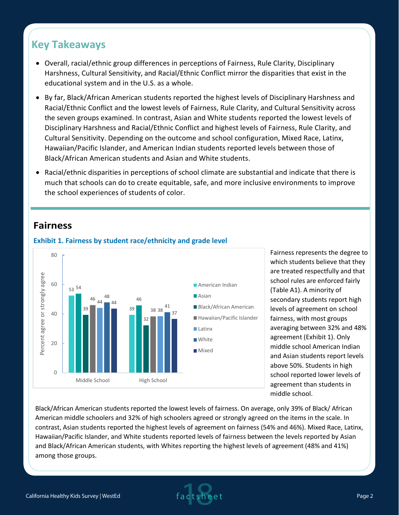# **Key Takeaways**

- Overall, racial/ethnic group differences in perceptions of Fairness, Rule Clarity, Disciplinary Harshness, Cultural Sensitivity, and Racial/Ethnic Conflict mirror the disparities that exist in the educational system and in the U.S. as a whole.
- By far, Black/African American students reported the highest levels of Disciplinary Harshness and Racial/Ethnic Conflict and the lowest levels of Fairness, Rule Clarity, and Cultural Sensitivity across the seven groups examined. In contrast, Asian and White students reported the lowest levels of Disciplinary Harshness and Racial/Ethnic Conflict and highest levels of Fairness, Rule Clarity, and Cultural Sensitivity. Depending on the outcome and school configuration, Mixed Race, Latinx, Hawaiian/Pacific Islander, and American Indian students reported levels between those of Black/African American students and Asian and White students.
- Racial/ethnic disparities in perceptions of school climate are substantial and indicate that there is much that schools can do to create equitable, safe, and more inclusive environments to improve the school experiences of students of color.

## **Fairness**



Fairness represents the degree to which students believe that they are treated respectfully and that school rules are enforced fairly (Table A1). A minority of secondary students report high levels of agreement on school fairness, with most groups averaging between 32% and 48% agreement (Exhibit 1). Only middle school American Indian and Asian students report levels above 50%. Students in high school reported lower levels of agreement than students in middle school.

Black/African American students reported the lowest levels of fairness. On average, only 39% of Black/ African American middle schoolers and 32% of high schoolers agreed or strongly agreed on the items in the scale. In contrast, Asian students reported the highest levels of agreement on fairness (54% and 46%). Mixed Race, Latinx, Hawaiian/Pacific Islander, and White students reported levels of fairness between the levels reported by Asian and Black/African American students, with Whites reporting the highest levels of agreement (48% and 41%) among those groups.

### **Exhibit 1. Fairness by student race/ethnicity and grade level**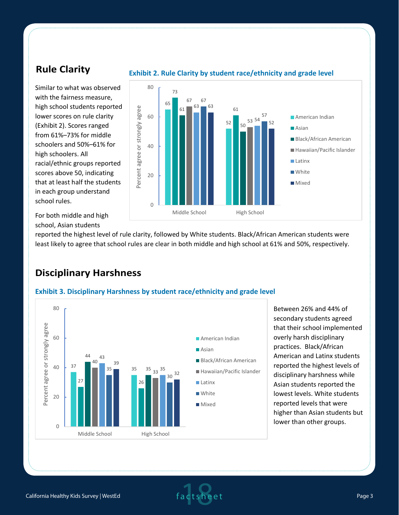## **Rule Clarity**

Similar to what was observed with the fairness measure, high school students reported lower scores on rule clarity (Exhibit 2). Scores ranged from 61%–73% for middle schoolers and 50%–61% for high schoolers. All racial/ethnic groups reported scores above 50, indicating that at least half the students in each group understand school rules.



For both middle and high school, Asian students

reported the highest level of rule clarity, followed by White students. Black/African American students were least likely to agree that school rules are clear in both middle and high school at 61% and 50%, respectively.

### **Disciplinary Harshness**

### **Exhibit 3. Disciplinary Harshness by student race/ethnicity and grade level**



Between 26% and 44% of secondary students agreed that their school implemented overly harsh disciplinary practices. Black/African American and Latinx students reported the highest levels of disciplinary harshness while Asian students reported the lowest levels. White students reported levels that were higher than Asian students but lower than other groups.

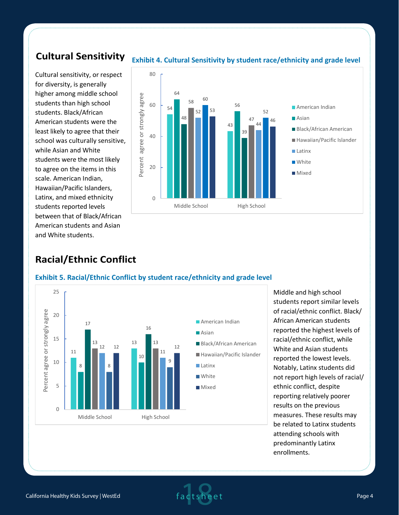## **Cultural Sensitivity**

Cultural sensitivity, or respect for diversity, is generally higher among middle school students than high school students. Black/African American students were the least likely to agree that their school was culturally sensitive, while Asian and White students were the most likely to agree on the items in this scale. American Indian, Hawaiian/Pacific Islanders, Latinx, and mixed ethnicity students reported levels between that of Black/African American students and Asian and White students.



#### **Exhibit 4. Cultural Sensitivity by student race/ethnicity and grade level**

### **Racial/Ethnic Conflict**



### **Exhibit 5. Racial/Ethnic Conflict by student race/ethnicity and grade level**

Middle and high school students report similar levels of racial/ethnic conflict. Black/ African American students reported the highest levels of racial/ethnic conflict, while White and Asian students reported the lowest levels. Notably, Latinx students did not report high levels of racial/ ethnic conflict, despite reporting relatively poorer results on the previous measures. These results may be related to Latinx students attending schools with predominantly Latinx enrollments.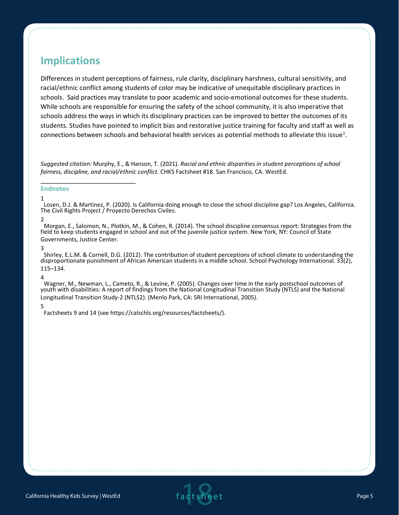## **Implications**

Differences in student perceptions of fairness, rule clarity, disciplinary harshness, cultural sensitivity, and racial/ethnic conflict among students of color may be indicative of unequitable disciplinary practices in schools. Said practices may translate to poor academic and socio-emotional outcomes for these students. While schools are responsible for ensuring the safety of the school community, it is also imperative that schools address the ways in which its disciplinary practices can be improved to better the outcomes of its students. Studies have pointed to implicit bias and restorative justice training for faculty and staff as well as connections between schools and behavioral health services as potential methods to alleviate this issue<sup>1</sup>.

*Suggested citation:* Murphy, E., & Hanson, T. (2021). *Racial and ethnic disparities in student perceptions of school fairness, discipline, and racial/ethnic conflict.* CHKS Factsheet #18. San Francisco, CA. WestEd.

#### **Endnotes**

\_\_\_\_\_\_\_\_\_\_\_\_\_\_\_\_\_\_\_\_\_\_\_\_\_\_\_

#### 1

Losen, D.J. & Martinez, P. (2020). Is California doing enough to close the school discipline gap? Los Angeles, California. The Civil Rights Project / Proyecto Derechos Civiles.

2

Morgan, E., Salomon, N., Plotkin, M., & Cohen, R. (2014). The school discipline consensus report: Strategies from the field to keep students engaged in school and out of the juvenile justice system. New York, NY: Council of State Governments, Justice Center.

#### 3

Shirley, E.L.M. & Cornell, D.G. (2012). The contribution of student perceptions of school climate to understanding the disproportionate punishment of African American students in a middle school. School Psychology International. 33(2), 115–134.

#### 4

Wagner, M., Newman, L., Cameto, R., & Levine, P. (2005). Changes over time in the early postschool outcomes of youth with disabilities: A report of findings from the National Longitudinal Transition Study (NTLS) and the National Longitudinal Transition Study-2 (NTLS2). (Menlo Park, CA: SRI International, 2005).

#### 5

Factsheets 9 and 14 (see https://calschls.org/resources/factsheets/).